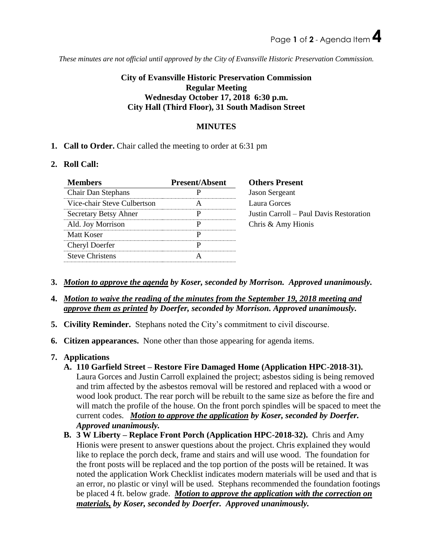*These minutes are not official until approved by the City of Evansville Historic Preservation Commission.*

# **City of Evansville Historic Preservation Commission Regular Meeting Wednesday October 17, 2018 6:30 p.m. City Hall (Third Floor), 31 South Madison Street**

#### **MINUTES**

**1. Call to Order.** Chair called the meeting to order at 6:31 pm

#### **2. Roll Call:**

| <b>Members</b>              | <b>Present/Absent</b> | <b>Others Present</b>                   |
|-----------------------------|-----------------------|-----------------------------------------|
| Chair Dan Stephans          |                       | <b>Jason Sergeant</b>                   |
| Vice-chair Steve Culbertson |                       | Laura Gorces                            |
| Secretary Betsy Ahner       |                       | Justin Carroll – Paul Davis Restoration |
| Ald. Joy Morrison           |                       | Chris & Amy Hionis                      |
| Matt Koser                  |                       |                                         |
| <b>Cheryl Doerfer</b>       |                       |                                         |
| <b>Steve Christens</b>      |                       |                                         |

- **3.** *Motion to approve the agenda by Koser, seconded by Morrison. Approved unanimously.*
- **4.** *Motion to waive the reading of the minutes from the September 19, 2018 meeting and approve them as printed by Doerfer, seconded by Morrison. Approved unanimously.*
- **5. Civility Reminder.** Stephans noted the City's commitment to civil discourse.
- **6. Citizen appearances.** None other than those appearing for agenda items.
- **7. Applications** 
	- **A. 110 Garfield Street – Restore Fire Damaged Home (Application HPC-2018-31).** Laura Gorces and Justin Carroll explained the project; asbestos siding is being removed and trim affected by the asbestos removal will be restored and replaced with a wood or wood look product. The rear porch will be rebuilt to the same size as before the fire and will match the profile of the house. On the front porch spindles will be spaced to meet the current codes. *Motion to approve the application by Koser, seconded by Doerfer. Approved unanimously.*
	- **B. 3 W Liberty – Replace Front Porch (Application HPC-2018-32).** Chris and Amy Hionis were present to answer questions about the project. Chris explained they would like to replace the porch deck, frame and stairs and will use wood. The foundation for the front posts will be replaced and the top portion of the posts will be retained. It was noted the application Work Checklist indicates modern materials will be used and that is an error, no plastic or vinyl will be used. Stephans recommended the foundation footings be placed 4 ft. below grade. *Motion to approve the application with the correction on materials, by Koser, seconded by Doerfer. Approved unanimously.*